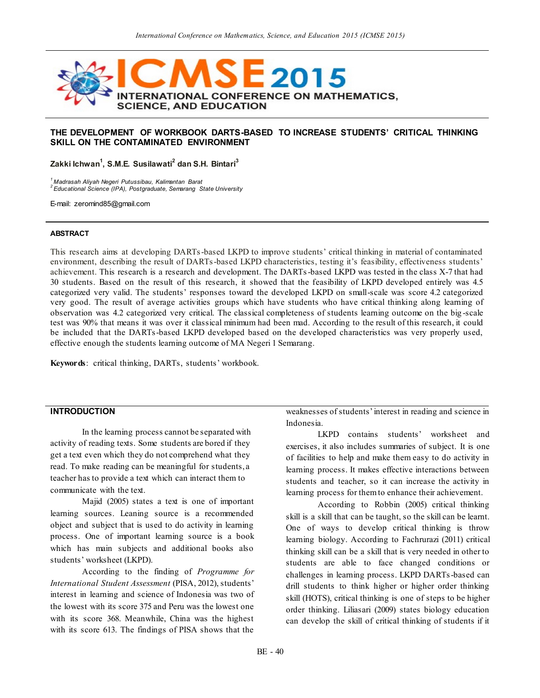

### **THE DEVELOPMENT OF WORKBOOK DARTS-BASED TO INCREASE STUDENTS' CRITICAL THINKING SKILL ON THE CONTAMINATED ENVIRONMENT**

**Zakki Ichwan<sup>1</sup> , S.M.E. Susilawati<sup>2</sup> dan S.H. Bintari<sup>3</sup>**

*<sup>1</sup>Madrasah Aliyah Negeri Putussibau, Kalimantan Barat <sup>2</sup>Educational Science (IPA), Postgraduate, Semarang State University*

E-mail: zeromind85@gmail.com

#### **ABSTRACT**

This research aims at developing DARTs-based LKPD to improve students' critical thinking in material of contaminated environment, describing the result of DARTs-based LKPD characteristics, testing it's feasibility, effectiveness students' achievement. This research is a research and development. The DARTs-based LKPD was tested in the class X-7 that had 30 students. Based on the result of this research, it showed that the feasibility of LKPD developed entirely was 4.5 categorized very valid. The students' responses toward the developed LKPD on small-scale was score 4.2 categorized very good. The result of average activities groups which have students who have critical thinking along learning of observation was 4.2 categorized very critical. The classical completeness of students learning outcome on the big -scale test was 90% that means it was over it classical minimum had been mad. According to the result of this research, it could be included that the DARTs-based LKPD developed based on the developed characteristics was very properly used, effective enough the students learning outcome of MA Negeri 1 Semarang.

**Keywords**: critical thinking, DARTs, students' workbook.

## **INTRODUCTION**

In the learning process cannot be separated with activity of reading texts. Some students are bored if they get a text even which they do not comprehend what they read. To make reading can be meaningful for students, a teacher has to provide a text which can interact them to communicate with the text.

Majid (2005) states a text is one of important learning sources. Leaning source is a recommended object and subject that is used to do activity in learning process. One of important learning source is a book which has main subjects and additional books also students' worksheet (LKPD).

According to the finding of *Programme for International Student Assessment* (PISA, 2012), students' interest in learning and science of Indonesia was two of the lowest with its score 375 and Peru was the lowest one with its score 368. Meanwhile, China was the highest with its score 613. The findings of PISA shows that the

weaknesses of students' interest in reading and science in Indonesia.

LKPD contains students' worksheet and exercises, it also includes summaries of subject. It is one of facilities to help and make them easy to do activity in learning process. It makes effective interactions between students and teacher, so it can increase the activity in learning process for them to enhance their achievement.

According to Robbin (2005) critical thinking skill is a skill that can be taught, so the skill can be learnt. One of ways to develop critical thinking is throw learning biology. According to Fachrurazi (2011) critical thinking skill can be a skill that is very needed in other to students are able to face changed conditions or challenges in learning process. LKPD DARTs-based can drill students to think higher or higher order thinking skill (HOTS), critical thinking is one of steps to be higher order thinking. Liliasari (2009) states biology education can develop the skill of critical thinking of students if it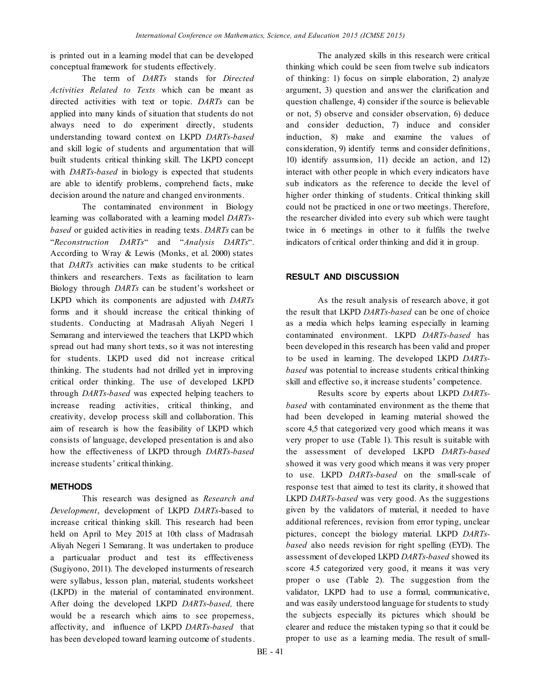is printed out in a learning model that can be developed conceptual framework for students effectively.

The term of *DARTs* stands for *Directed Activities Related to Texts* which can be meant as directed activities with text or topic. *DARTs* can be applied into many kinds of situation that students do not always need to do experiment directly, students understanding toward context on LKPD *DARTs-based* and skill logic of students and argumentation that will built students critical thinking skill. The LKPD concept with *DARTs-based* in biology is expected that students are able to identify problems, comprehend facts, make decision around the nature and changed environments.

The contaminated environment in Biology learning was collaborated with a learning model *DARTsbased* or guided activities in reading texts. *DARTs* can be "*Reconstruction DARTs*" and "*Analysis DARTs*". According to Wray & Lewis (Monks, et al. 2000) states that *DARTs* activities can make students to be critical thinkers and researchers. Texts as facilitation to learn Biology through *DARTs* can be student's worksheet or LKPD which its components are adjusted with *DARTs* forms and it should increase the critical thinking of students. Conducting at Madrasah Aliyah Negeri 1 Semarang and interviewed the teachers that LKPD which spread out had many short texts, so it was not interesting for students. LKPD used did not increase critical thinking. The students had not drilled yet in improving critical order thinking. The use of developed LKPD through *DARTs-based* was expected helping teachers to increase reading activities, critical thinking, and creativity, develop process skill and collaboration. This aim of research is how the feasibility of LKPD which consists of language, developed presentation is and also how the effectiveness of LKPD through *DARTs-based*  increase students' critical thinking.

## **METHODS**

This research was designed as *Research and Development*, development of LKPD *DARTs*-based to increase critical thinking skill. This research had been held on April to Mey 2015 at 10th class of Madrasah Aliyah Negeri 1 Semarang. It was undertaken to produce a particualar product and test its efffectiveness (Sugiyono, 2011). The developed insturments of research were syllabus, lesson plan, material, students worksheet (LKPD) in the material of contaminated environment. After doing the developed LKPD *DARTs*-*based,* there would be a research which aims to see properness, affectivity, and influence of LKPD *DARTs-based* that has been developed toward learning outcome of students.

The analyzed skills in this research were critical thinking which could be seen from twelve sub indicators of thinking: 1) focus on simple elaboration, 2) analyze argument, 3) question and answer the clarification and question challenge, 4) consider if the source is believable or not, 5) observe and consider observation, 6) deduce and consider deduction, 7) induce and consider induction, 8) make and examine the values of consideration, 9) identify terms and consider definitions, 10) identify assumsion, 11) decide an action, and 12) interact with other people in which every indicators have sub indicators as the reference to decide the level of higher order thinking of students. Critical thinking skill could not be practiced in one or two meetings. Therefore, the researcher divided into every sub which were taught twice in 6 meetings in other to it fulfils the twelve indicators of critical order thinking and did it in group.

## **RESULT AND DISCUSSION**

As the result analysis of research above, it got the result that LKPD *DARTs-based* can be one of choice as a media which helps learning especially in learning contaminated environment. LKPD *DARTs-based* has been developed in this research has been valid and proper to be used in learning. The developed LKPD *DARTsbased* was potential to increase students critical thinking skill and effective so, it increase students' competence.

Results score by experts about LKPD *DARTsbased* with contaminated environment as the theme that had been developed in learning material showed the score 4,5 that categorized very good which means it was very proper to use (Table 1). This result is suitable with the assessment of developed LKPD *DARTs-based* showed it was very good which means it was very proper to use. LKPD *DARTs-based* on the small-scale of response test that aimed to test its clarity, it showed that LKPD *DARTs-based* was very good. As the suggestions given by the validators of material, it needed to have additional references, revision from error typing, unclear pictures, concept the biology material. LKPD *DARTsbased* also needs revision for right spelling (EYD). The assessment of developed LKPD *DARTs-based* showed its score 4.5 categorized very good, it means it was very proper o use (Table 2). The suggestion from the validator, LKPD had to use a formal, communicative, and was easily understood language for students to study the subjects especially its pictures which should be clearer and reduce the mistaken typing so that it could be proper to use as a learning media. The result of small-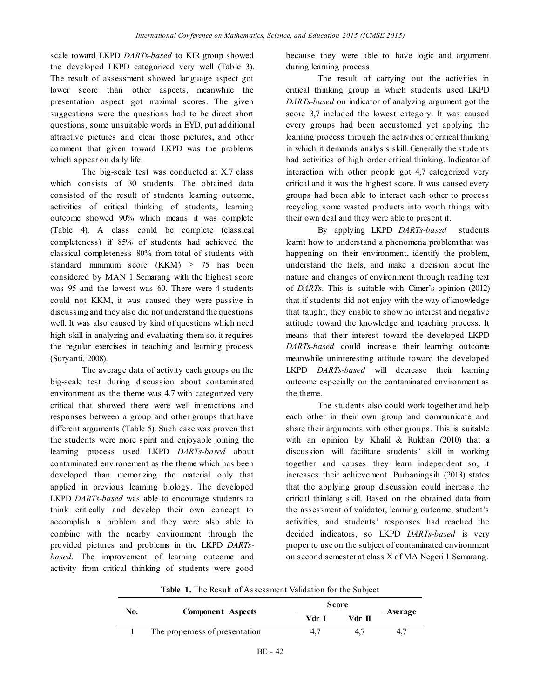scale toward LKPD *DARTs-based* to KIR group showed the developed LKPD categorized very well (Table 3). The result of assessment showed language aspect got lower score than other aspects, meanwhile the presentation aspect got maximal scores. The given suggestions were the questions had to be direct short questions, some unsuitable words in EYD, put additional attractive pictures and clear those pictures, and other comment that given toward LKPD was the problems which appear on daily life.

The big-scale test was conducted at X.7 class which consists of 30 students. The obtained data consisted of the result of students learning outcome, activities of critical thinking of students, learning outcome showed 90% which means it was complete (Table 4). A class could be complete (classical completeness) if 85% of students had achieved the classical completeness 80% from total of students with standard minimum score (KKM)  $\geq$  75 has been considered by MAN 1 Semarang with the highest score was 95 and the lowest was 60. There were 4 students could not KKM, it was caused they were passive in discussing and they also did not understand the questions well. It was also caused by kind of questions which need high skill in analyzing and evaluating them so, it requires the regular exercises in teaching and learning process (Suryanti, 2008).

The average data of activity each groups on the big-scale test during discussion about contaminated environment as the theme was 4.7 with categorized very critical that showed there were well interactions and responses between a group and other groups that have different arguments (Table 5). Such case was proven that the students were more spirit and enjoyable joining the learning process used LKPD *DARTs-based* about contaminated environement as the theme which has been developed than memorizing the material only that applied in previous learning biology. The developed LKPD *DARTs-based* was able to encourage students to think critically and develop their own concept to accomplish a problem and they were also able to combine with the nearby environment through the provided pictures and problems in the LKPD *DARTsbased*. The improvement of learning outcome and activity from critical thinking of students were good

because they were able to have logic and argument during learning process.

The result of carrying out the activities in critical thinking group in which students used LKPD *DARTs-based* on indicator of analyzing argument got the score 3,7 included the lowest category. It was caused every groups had been accustomed yet applying the learning process through the activities of critical thinking in which it demands analysis skill. Generally the students had activities of high order critical thinking. Indicator of interaction with other people got 4,7 categorized very critical and it was the highest score. It was caused every groups had been able to interact each other to process recycling some wasted products into worth things with their own deal and they were able to present it.

By applying LKPD *DARTs-based* students learnt how to understand a phenomena problem that was happening on their environment, identify the problem, understand the facts, and make a decision about the nature and changes of environment through reading text of *DARTs*. This is suitable with Cimer's opinion (2012) that if students did not enjoy with the way of knowledge that taught, they enable to show no interest and negative attitude toward the knowledge and teaching process. It means that their interest toward the developed LKPD *DARTs-based* could increase their learning outcome meanwhile uninteresting attitude toward the developed LKPD *DARTs-based* will decrease their learning outcome especially on the contaminated environment as the theme.

The students also could work together and help each other in their own group and communicate and share their arguments with other groups. This is suitable with an opinion by Khalil & Rukban (2010) that a discussion will facilitate students' skill in working together and causes they learn independent so, it increases their achievement. Purbaningsih (2013) states that the applying group discussion could increase the critical thinking skill. Based on the obtained data from the assessment of validator, learning outcome, student's activities, and students' responses had reached the decided indicators, so LKPD *DARTs-based* is very proper to use on the subject of contaminated environment on second semester at class X of MA Negeri 1 Semarang.

**Table 1.** The Result of Assessment Validation for the Subject

| No. |                                |     | <b>Score</b> |         |  |
|-----|--------------------------------|-----|--------------|---------|--|
|     | <b>Component</b> Aspects       | Vdr | Vdr II       | Average |  |
|     | The properness of presentation | 4., |              | 4.7     |  |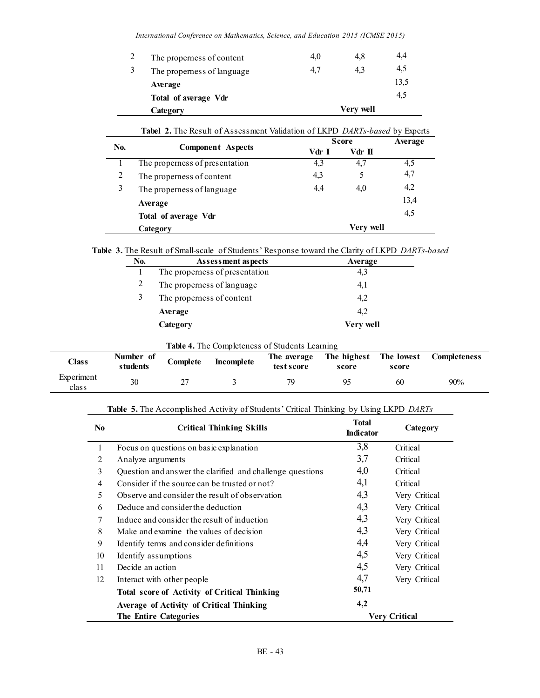*International Conference on Mathematics, Science, and Education 2015 (ICMSE 2015)*

|   | Category                   | Very well |     |      |
|---|----------------------------|-----------|-----|------|
|   | Total of average Vdr       |           |     | 4,5  |
|   | Average                    |           |     | 13,5 |
| 3 | The properness of language | 4,7       | 4.3 | 4,5  |
|   | The properness of content  | 4,0       | 4,8 | 4.4  |

| No. |                                | Score | Average   |      |
|-----|--------------------------------|-------|-----------|------|
|     | <b>Component</b> Aspects       | Vdr I | Vdr II    |      |
|     | The properness of presentation | 4,3   | 4,7       | 4,5  |
| 2   | The properness of content      | 4,3   | 5         | 4,7  |
| 3   | The properness of language     | 4.4   | 4,0       | 4,2  |
|     | Average                        |       |           | 13,4 |
|     | Total of average Vdr           |       |           | 4,5  |
|     | Category                       |       | Very well |      |

#### **Table 3.** The Result of Small-scale of Students' Response toward the Clarity of LKPD *DARTs-based*

| No. | Assessment aspects             | Average   |
|-----|--------------------------------|-----------|
|     | The properness of presentation | 4,3       |
| 2   | The properness of language     | 4,1       |
| 3   | The properness of content      | 4,2       |
|     | Average                        | 4.2       |
|     | Category                       | Very well |

# **Table 4.** The Completeness of Students Learning

| $\text{Class}$      | Number of<br>students | Complete | <b>Incomplete</b> | The average<br>test score | The highest<br>score | The lowest<br>score | <b>Completeness</b> |
|---------------------|-----------------------|----------|-------------------|---------------------------|----------------------|---------------------|---------------------|
| Experiment<br>class | 30                    |          |                   | 70                        | Q٢                   | 60                  | 90%                 |

# **Table 5.** The Accomplished Activity of Students' Critical Thinking by Using LKPD *DARTs*

| N <sub>0</sub> | <b>Critical Thinking Skills</b>                           | <b>Total</b><br><b>Indicator</b> | Category             |
|----------------|-----------------------------------------------------------|----------------------------------|----------------------|
| 1              | Focus on questions on basic explanation                   | 3,8                              | Critical             |
| $\overline{2}$ | Analyze arguments                                         | 3,7                              | Critical             |
| 3              | Question and answer the clarified and challenge questions | 4,0                              | Critical             |
| 4              | Consider if the source can be trusted or not?             | 4,1                              | Critical             |
| 5              | Observe and consider the result of observation            | 4,3                              | Very Critical        |
| 6              | Deduce and consider the deduction                         | 4,3                              | Very Critical        |
| 7              | Induce and consider the result of induction               | 4,3                              | Very Critical        |
| 8              | Make and examine the values of decision                   | 4,3                              | Very Critical        |
| 9              | Identify terms and consider definitions                   | 4,4                              | Very Critical        |
| 10             | Identify assumptions                                      | 4,5                              | Very Critical        |
| 11             | Decide an action                                          | 4,5                              | Very Critical        |
| 12             | Interact with other people                                | 4,7                              | Very Critical        |
|                | <b>Total score of Activity of Critical Thinking</b>       | 50,71                            |                      |
|                | Average of Activity of Critical Thinking                  | 4,2                              |                      |
|                | <b>The Entire Categories</b>                              |                                  | <b>Very Critical</b> |